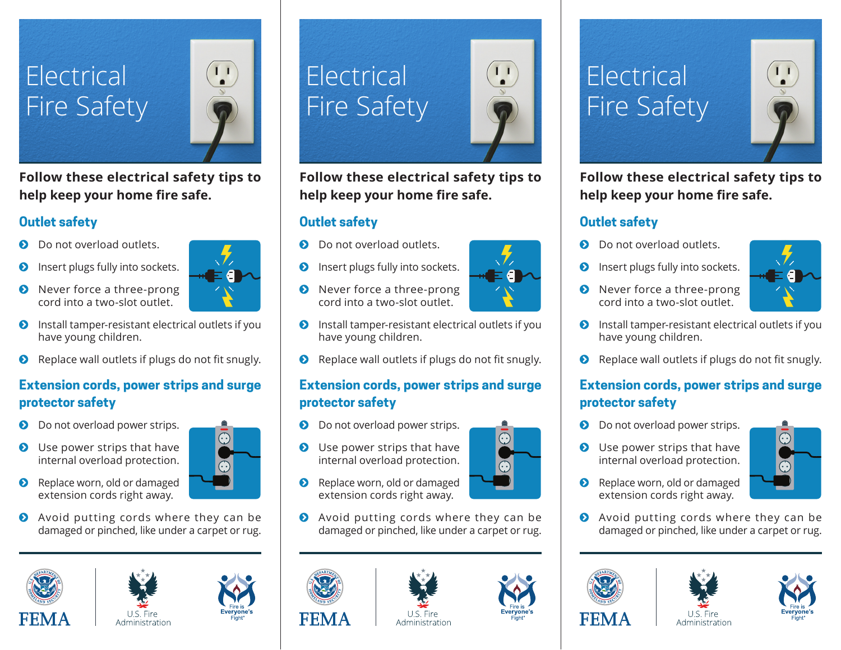### Electrical Fire Safety



**Follow these electrical safety tips to**  help keep your home fire safe.

#### **Outlet safety**

- Do not overload outlets.
- **O** Insert plugs fully into sockets.
- **O** Never force a three-prong cord into a two-slot outlet.
- 
- $\bullet$  Install tamper-resistant electrical outlets if you have young children.
- $\bullet$  Replace wall outlets if plugs do not fit snugly.

#### **Extension cords, power strips and surge protector safety**

- **D** Do not overload power strips.
- **O** Use power strips that have internal overload protection.
- Replace worn, old or damaged extension cords right away.
- ◆ Avoid putting cords where they can be damaged or pinched, like under a carpet or rug.







# Electrical Fire Safety

**Follow these electrical safety tips to**  help keep your home fire safe.

#### **Outlet safety**

- **D** Do not overload outlets.
- **O** Insert plugs fully into sockets.
- **O** Never force a three-prong cord into a two-slot outlet.
- $\bullet$  Install tamper-resistant electrical outlets if you have young children.
- $\bullet$  Replace wall outlets if plugs do not fit snugly.

#### **Extension cords, power strips and surge protector safety**

- **D** Do not overload power strips.
- **O** Use power strips that have internal overload protection.
- **8** Replace worn, old or damaged extension cords right away.
- ◆ Avoid putting cords where they can be damaged or pinched, like under a carpet or rug.







## Electrical Fire Safety



**Follow these electrical safety tips to**  help keep your home fire safe.

#### **Outlet safety**

- Do not overload outlets.
- **O** Insert plugs fully into sockets.
- ◆ Never force a three-prong cord into a two-slot outlet.
- $\bullet$  Install tamper-resistant electrical outlets if you have young children.
- $\bullet$  Replace wall outlets if plugs do not fit snugly.

#### **Extension cords, power strips and surge protector safety**

- **D** Do not overload power strips.
- **O** Use power strips that have internal overload protection.
- Replace worn, old or damaged extension cords right away.
- **Avoid putting cords where they can be** damaged or pinched, like under a carpet or rug.

Administration







Ч

- 
-